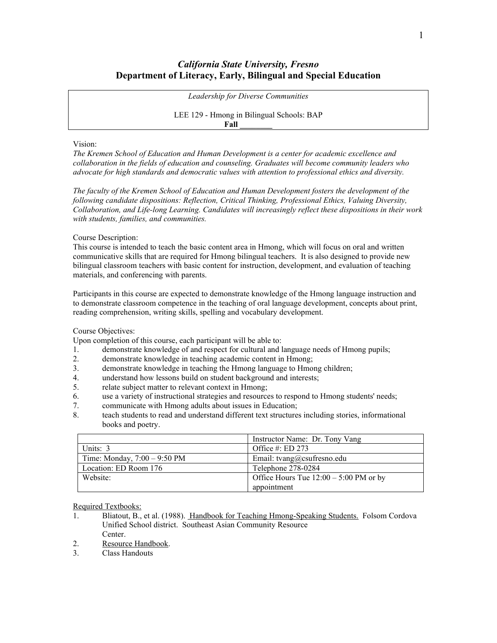# *California State University, Fresno* **Department of Literacy, Early, Bilingual and Special Education**

*Leadership for Diverse Communities*

LEE 129 - Hmong in Bilingual Schools: BAP **Fall \_\_\_\_\_\_\_\_**

#### Vision:

*The Kremen School of Education and Human Development is a center for academic excellence and collaboration in the fields of education and counseling. Graduates will become community leaders who advocate for high standards and democratic values with attention to professional ethics and diversity.*

*The faculty of the Kremen School of Education and Human Development fosters the development of the following candidate dispositions: Reflection, Critical Thinking, Professional Ethics, Valuing Diversity, Collaboration, and Life-long Learning. Candidates will increasingly reflect these dispositions in their work with students, families, and communities.*

Course Description:

This course is intended to teach the basic content area in Hmong, which will focus on oral and written communicative skills that are required for Hmong bilingual teachers. It is also designed to provide new bilingual classroom teachers with basic content for instruction, development, and evaluation of teaching materials, and conferencing with parents.

Participants in this course are expected to demonstrate knowledge of the Hmong language instruction and to demonstrate classroom competence in the teaching of oral language development, concepts about print, reading comprehension, writing skills, spelling and vocabulary development.

## Course Objectives:

Upon completion of this course, each participant will be able to:

- 1. demonstrate knowledge of and respect for cultural and language needs of Hmong pupils;
- 2. demonstrate knowledge in teaching academic content in Hmong;
- 3. demonstrate knowledge in teaching the Hmong language to Hmong children;
- 4. understand how lessons build on student background and interests;
- 5. relate subject matter to relevant context in Hmong;
- 6. use a variety of instructional strategies and resources to respond to Hmong students' needs;
- 7. communicate with Hmong adults about issues in Education;
- 8. teach students to read and understand different text structures including stories, informational books and poetry.

|                                | Instructor Name: Dr. Tony Vang           |  |
|--------------------------------|------------------------------------------|--|
| Units: 3                       | Office #: ED 273                         |  |
| Time: Monday, $7:00 - 9:50$ PM | Email: tvang@csufresno.edu               |  |
| Location: ED Room 176          | Telephone 278-0284                       |  |
| Website:                       | Office Hours Tue $12:00 - 5:00$ PM or by |  |
|                                | appointment                              |  |

Required Textbooks:

- 1. Bliatout, B., et al. (1988). Handbook for Teaching Hmong-Speaking Students. Folsom Cordova Unified School district. Southeast Asian Community Resource Center.
- 2. Resource Handbook.
- 3. Class Handouts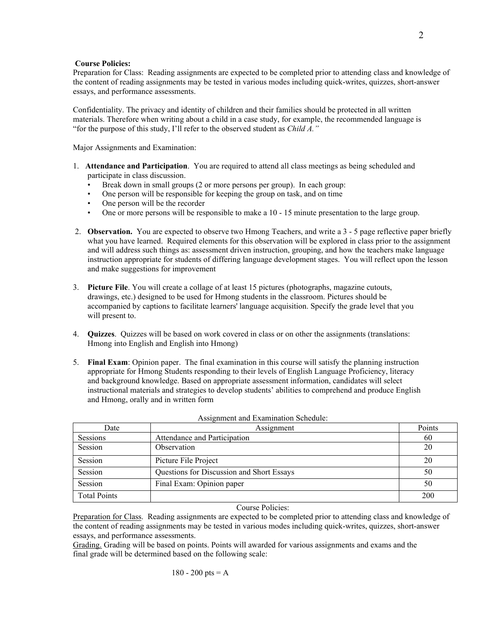### **Course Policies:**

Preparation for Class: Reading assignments are expected to be completed prior to attending class and knowledge of the content of reading assignments may be tested in various modes including quick-writes, quizzes, short-answer essays, and performance assessments.

Confidentiality. The privacy and identity of children and their families should be protected in all written materials. Therefore when writing about a child in a case study, for example, the recommended language is "for the purpose of this study, I'll refer to the observed student as *Child A."*

Major Assignments and Examination:

- 1. **Attendance and Participation**. You are required to attend all class meetings as being scheduled and participate in class discussion.
	- Break down in small groups (2 or more persons per group). In each group:
	- One person will be responsible for keeping the group on task, and on time
	- One person will be the recorder
	- One or more persons will be responsible to make a 10 15 minute presentation to the large group.
- 2. **Observation.** You are expected to observe two Hmong Teachers, and write a 3 5 page reflective paper briefly what you have learned. Required elements for this observation will be explored in class prior to the assignment and will address such things as: assessment driven instruction, grouping, and how the teachers make language instruction appropriate for students of differing language development stages. You will reflect upon the lesson and make suggestions for improvement
- 3. **Picture File**. You will create a collage of at least 15 pictures (photographs, magazine cutouts, drawings, etc.) designed to be used for Hmong students in the classroom. Pictures should be accompanied by captions to facilitate learners' language acquisition. Specify the grade level that you will present to.
- 4. **Quizzes**. Quizzes will be based on work covered in class or on other the assignments (translations: Hmong into English and English into Hmong)
- 5. **Final Exam**: Opinion paper. The final examination in this course will satisfy the planning instruction appropriate for Hmong Students responding to their levels of English Language Proficiency, literacy and background knowledge. Based on appropriate assessment information, candidates will select instructional materials and strategies to develop students' abilities to comprehend and produce English and Hmong, orally and in written form

| Date                | Assignment                                | Points |
|---------------------|-------------------------------------------|--------|
| Sessions            | Attendance and Participation              | 60     |
| Session             | Observation                               | 20     |
| Session             | Picture File Project                      | 20     |
| Session             | Questions for Discussion and Short Essays | 50     |
| Session             | Final Exam: Opinion paper                 | 50     |
| <b>Total Points</b> |                                           | 200    |

Assignment and Examination Schedule:

Course Policies:

Preparation for Class. Reading assignments are expected to be completed prior to attending class and knowledge of the content of reading assignments may be tested in various modes including quick-writes, quizzes, short-answer essays, and performance assessments.

Grading. Grading will be based on points. Points will awarded for various assignments and exams and the final grade will be determined based on the following scale: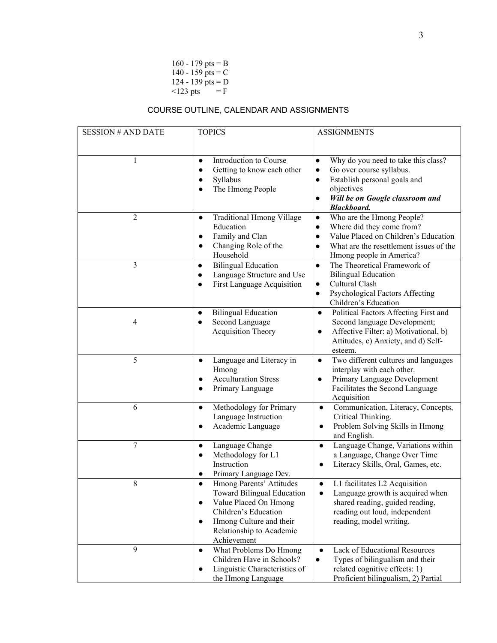160 - 179 pts =  $B$ 140 - 159 pts =  $C$ 124 - 139 pts  $= D$  $<$ 123 pts = F

# COURSE OUTLINE, CALENDAR AND ASSIGNMENTS

| <b>SESSION # AND DATE</b> | <b>TOPICS</b>                                                                                                                                                                                                  | <b>ASSIGNMENTS</b>                                                                                                                                                                                                         |
|---------------------------|----------------------------------------------------------------------------------------------------------------------------------------------------------------------------------------------------------------|----------------------------------------------------------------------------------------------------------------------------------------------------------------------------------------------------------------------------|
| 1                         | Introduction to Course<br>$\bullet$<br>Getting to know each other<br>$\bullet$<br>Syllabus<br>The Hmong People                                                                                                 | Why do you need to take this class?<br>$\bullet$<br>Go over course syllabus.<br>$\bullet$<br>Establish personal goals and<br>$\bullet$<br>objectives<br>Will be on Google classroom and<br>$\bullet$<br><b>Blackboard.</b> |
| 2                         | Traditional Hmong Village<br>$\bullet$<br>Education<br>Family and Clan<br>$\bullet$<br>Changing Role of the<br>$\bullet$<br>Household                                                                          | Who are the Hmong People?<br>$\bullet$<br>Where did they come from?<br>$\bullet$<br>Value Placed on Children's Education<br>$\bullet$<br>What are the resettlement issues of the<br>$\bullet$<br>Hmong people in America?  |
| 3                         | <b>Bilingual Education</b><br>$\bullet$<br>Language Structure and Use<br>$\bullet$<br>First Language Acquisition<br>$\bullet$                                                                                  | The Theoretical Framework of<br>$\bullet$<br><b>Bilingual Education</b><br>Cultural Clash<br>$\bullet$<br>Psychological Factors Affecting<br>$\bullet$<br>Children's Education                                             |
| 4                         | <b>Bilingual Education</b><br>$\bullet$<br>Second Language<br>Acquisition Theory                                                                                                                               | Political Factors Affecting First and<br>$\bullet$<br>Second language Development;<br>Affective Filter: a) Motivational, b)<br>$\bullet$<br>Attitudes, c) Anxiety, and d) Self-<br>esteem.                                 |
| 5                         | Language and Literacy in<br>$\bullet$<br>Hmong<br><b>Acculturation Stress</b><br>Primary Language<br>$\bullet$                                                                                                 | Two different cultures and languages<br>$\bullet$<br>interplay with each other.<br>Primary Language Development<br>$\bullet$<br>Facilitates the Second Language<br>Acquisition                                             |
| 6                         | Methodology for Primary<br>$\bullet$<br>Language Instruction<br>Academic Language                                                                                                                              | Communication, Literacy, Concepts,<br>$\bullet$<br>Critical Thinking.<br>Problem Solving Skills in Hmong<br>$\bullet$<br>and English.                                                                                      |
| 7                         | Language Change<br>$\bullet$<br>Methodology for L1<br>$\bullet$<br>Instruction<br>Primary Language Dev.                                                                                                        | Language Change, Variations within<br>$\bullet$<br>a Language, Change Over Time<br>Literacy Skills, Oral, Games, etc.                                                                                                      |
| 8                         | Hmong Parents' Attitudes<br>$\bullet$<br><b>Toward Bilingual Education</b><br>Value Placed On Hmong<br>$\bullet$<br>Children's Education<br>Hmong Culture and their<br>Relationship to Academic<br>Achievement | L1 facilitates L2 Acquisition<br>$\bullet$<br>Language growth is acquired when<br>shared reading, guided reading,<br>reading out loud, independent<br>reading, model writing.                                              |
| 9                         | What Problems Do Hmong<br>$\bullet$<br>Children Have in Schools?<br>Linguistic Characteristics of<br>the Hmong Language                                                                                        | Lack of Educational Resources<br>$\bullet$<br>Types of bilingualism and their<br>٠<br>related cognitive effects: 1)<br>Proficient bilingualism, 2) Partial                                                                 |